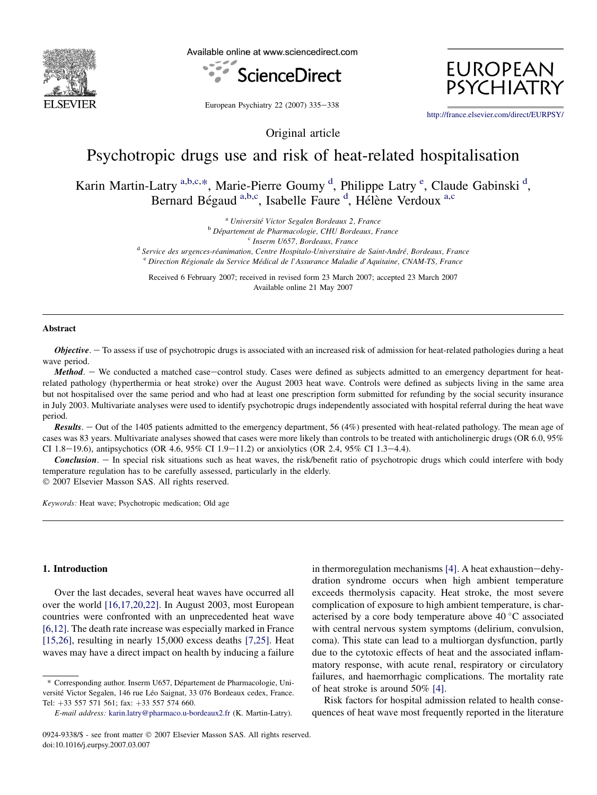

Available online at www.sciencedirect.com



**EUROPEAN PSYCHIATR** 

European Psychiatry 22 (2007) 335-338

<http://france.elsevier.com/direct/EURPSY/>

# Psychotropic drugs use and risk of heat-related hospitalisation

Original article

Karin Martin-Latry<sup>a,b,c,\*</sup>, Marie-Pierre Goumy<sup>d</sup>, Philippe Latry<sup>e</sup>, Claude Gabinski<sup>d</sup>, Bernard Bégaud<sup>a,b,c</sup>, Isabelle Faure<sup>d</sup>, Hélène Verdoux<sup>a,c</sup>

<sup>a</sup> Université Victor Segalen Bordeaux 2, France<br><sup>b</sup> Département de Pharmacologie, CHU Bordeaux, France<br><sup>d</sup> Service des urgences-réanimation, Centre Hospitalo-Universitaire de Saint-André, Bordeaux, France

<sup>e</sup> Direction Régionale du Service Médical de l'Assurance Maladie d'Aquitaine, CNAM-TS, France

Received 6 February 2007; received in revised form 23 March 2007; accepted 23 March 2007 Available online 21 May 2007

#### Abstract

**Objective.**  $-$  To assess if use of psychotropic drugs is associated with an increased risk of admission for heat-related pathologies during a heat wave period.

Method. - We conducted a matched case-control study. Cases were defined as subjects admitted to an emergency department for heatrelated pathology (hyperthermia or heat stroke) over the August 2003 heat wave. Controls were defined as subjects living in the same area but not hospitalised over the same period and who had at least one prescription form submitted for refunding by the social security insurance in July 2003. Multivariate analyses were used to identify psychotropic drugs independently associated with hospital referral during the heat wave period.

Results. - Out of the 1405 patients admitted to the emergency department, 56 (4%) presented with heat-related pathology. The mean age of cases was 83 years. Multivariate analyses showed that cases were more likely than controls to be treated with anticholinergic drugs (OR 6.0, 95% CI 1.8-19.6), antipsychotics (OR 4.6, 95% CI 1.9-11.2) or anxiolytics (OR 2.4, 95% CI 1.3-4.4).

Conclusion. - In special risk situations such as heat waves, the risk/benefit ratio of psychotropic drugs which could interfere with body temperature regulation has to be carefully assessed, particularly in the elderly.

- 2007 Elsevier Masson SAS. All rights reserved.

Keywords: Heat wave; Psychotropic medication; Old age

## 1. Introduction

Over the last decades, several heat waves have occurred all over the world [\[16,17,20,22\].](#page-3-0) In August 2003, most European countries were confronted with an unprecedented heat wave [\[6,12\].](#page-3-0) The death rate increase was especially marked in France [\[15,26\],](#page-3-0) resulting in nearly 15,000 excess deaths [\[7,25\].](#page-3-0) Heat waves may have a direct impact on health by inducing a failure in thermoregulation mechanisms  $[4]$ . A heat exhaustion-dehydration syndrome occurs when high ambient temperature exceeds thermolysis capacity. Heat stroke, the most severe complication of exposure to high ambient temperature, is characterised by a core body temperature above  $40^{\circ}$ C associated with central nervous system symptoms (delirium, convulsion, coma). This state can lead to a multiorgan dysfunction, partly due to the cytotoxic effects of heat and the associated inflammatory response, with acute renal, respiratory or circulatory failures, and haemorrhagic complications. The mortality rate of heat stroke is around 50% [\[4\]](#page-3-0).

Risk factors for hospital admission related to health consequences of heat wave most frequently reported in the literature

<sup>\*</sup> Corresponding author. Inserm U657, Département de Pharmacologie, Université Victor Segalen, 146 rue Léo Saignat, 33 076 Bordeaux cedex, France. Tel: +33 557 571 561; fax: +33 557 574 660.

E-mail address: [karin.latry@pharmaco.u-bordeaux2.fr](mailto:karin.latry@pharmaco.u-bordeaux2.fr) (K. Martin-Latry).

<sup>0924-9338/\$ -</sup> see front matter © 2007 Elsevier Masson SAS. All rights reserved. doi:10.1016/j.eurpsy.2007.03.007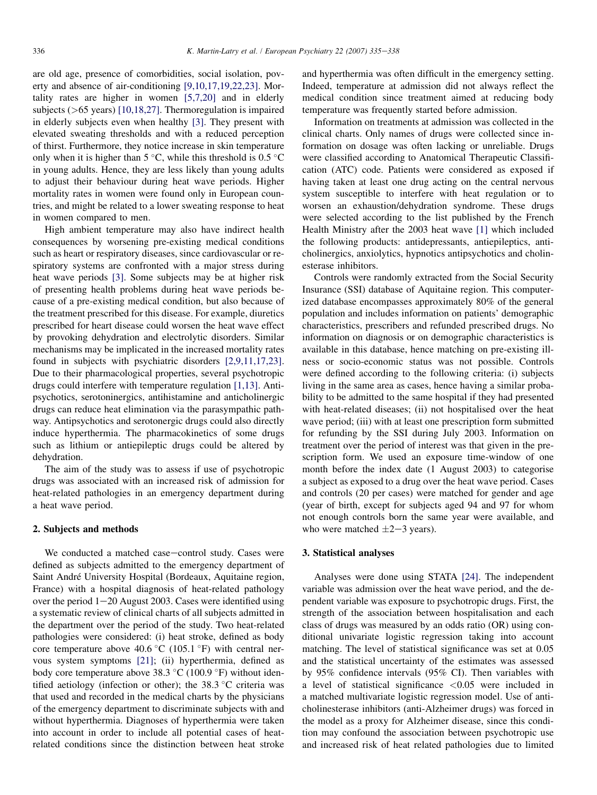are old age, presence of comorbidities, social isolation, poverty and absence of air-conditioning [\[9,10,17,19,22,23\].](#page-3-0) Mortality rates are higher in women [\[5,7,20\]](#page-3-0) and in elderly subjects (>65 years) [\[10,18,27\]](#page-3-0). Thermoregulation is impaired in elderly subjects even when healthy [\[3\]](#page-3-0). They present with elevated sweating thresholds and with a reduced perception of thirst. Furthermore, they notice increase in skin temperature only when it is higher than  $5^{\circ}$ C, while this threshold is 0.5  $^{\circ}$ C in young adults. Hence, they are less likely than young adults to adjust their behaviour during heat wave periods. Higher mortality rates in women were found only in European countries, and might be related to a lower sweating response to heat in women compared to men.

High ambient temperature may also have indirect health consequences by worsening pre-existing medical conditions such as heart or respiratory diseases, since cardiovascular or respiratory systems are confronted with a major stress during heat wave periods [\[3\]](#page-3-0). Some subjects may be at higher risk of presenting health problems during heat wave periods because of a pre-existing medical condition, but also because of the treatment prescribed for this disease. For example, diuretics prescribed for heart disease could worsen the heat wave effect by provoking dehydration and electrolytic disorders. Similar mechanisms may be implicated in the increased mortality rates found in subjects with psychiatric disorders [\[2,9,11,17,23\]](#page-3-0). Due to their pharmacological properties, several psychotropic drugs could interfere with temperature regulation [\[1,13\]](#page-3-0). Antipsychotics, serotoninergics, antihistamine and anticholinergic drugs can reduce heat elimination via the parasympathic pathway. Antipsychotics and serotonergic drugs could also directly induce hyperthermia. The pharmacokinetics of some drugs such as lithium or antiepileptic drugs could be altered by dehydration.

The aim of the study was to assess if use of psychotropic drugs was associated with an increased risk of admission for heat-related pathologies in an emergency department during a heat wave period.

## 2. Subjects and methods

We conducted a matched case-control study. Cases were defined as subjects admitted to the emergency department of Saint André University Hospital (Bordeaux, Aquitaine region, France) with a hospital diagnosis of heat-related pathology over the period  $1-20$  August 2003. Cases were identified using a systematic review of clinical charts of all subjects admitted in the department over the period of the study. Two heat-related pathologies were considered: (i) heat stroke, defined as body core temperature above  $40.6\text{ °C}$  (105.1  $\text{°F}$ ) with central nervous system symptoms [\[21\]](#page-3-0); (ii) hyperthermia, defined as body core temperature above  $38.3 \text{ °C}$  (100.9  $\text{ °F}$ ) without identified aetiology (infection or other); the  $38.3$  °C criteria was that used and recorded in the medical charts by the physicians of the emergency department to discriminate subjects with and without hyperthermia. Diagnoses of hyperthermia were taken into account in order to include all potential cases of heatrelated conditions since the distinction between heat stroke

and hyperthermia was often difficult in the emergency setting. Indeed, temperature at admission did not always reflect the medical condition since treatment aimed at reducing body temperature was frequently started before admission.

Information on treatments at admission was collected in the clinical charts. Only names of drugs were collected since information on dosage was often lacking or unreliable. Drugs were classified according to Anatomical Therapeutic Classification (ATC) code. Patients were considered as exposed if having taken at least one drug acting on the central nervous system susceptible to interfere with heat regulation or to worsen an exhaustion/dehydration syndrome. These drugs were selected according to the list published by the French Health Ministry after the 2003 heat wave [\[1\]](#page-3-0) which included the following products: antidepressants, antiepileptics, anticholinergics, anxiolytics, hypnotics antipsychotics and cholinesterase inhibitors.

Controls were randomly extracted from the Social Security Insurance (SSI) database of Aquitaine region. This computerized database encompasses approximately 80% of the general population and includes information on patients' demographic characteristics, prescribers and refunded prescribed drugs. No information on diagnosis or on demographic characteristics is available in this database, hence matching on pre-existing illness or socio-economic status was not possible. Controls were defined according to the following criteria: (i) subjects living in the same area as cases, hence having a similar probability to be admitted to the same hospital if they had presented with heat-related diseases; (ii) not hospitalised over the heat wave period; (iii) with at least one prescription form submitted for refunding by the SSI during July 2003. Information on treatment over the period of interest was that given in the prescription form. We used an exposure time-window of one month before the index date (1 August 2003) to categorise a subject as exposed to a drug over the heat wave period. Cases and controls (20 per cases) were matched for gender and age (year of birth, except for subjects aged 94 and 97 for whom not enough controls born the same year were available, and who were matched  $\pm 2-3$  years).

## 3. Statistical analyses

Analyses were done using STATA [\[24\]](#page-3-0). The independent variable was admission over the heat wave period, and the dependent variable was exposure to psychotropic drugs. First, the strength of the association between hospitalisation and each class of drugs was measured by an odds ratio (OR) using conditional univariate logistic regression taking into account matching. The level of statistical significance was set at 0.05 and the statistical uncertainty of the estimates was assessed by 95% confidence intervals (95% CI). Then variables with a level of statistical significance <0.05 were included in a matched multivariate logistic regression model. Use of anticholinesterase inhibitors (anti-Alzheimer drugs) was forced in the model as a proxy for Alzheimer disease, since this condition may confound the association between psychotropic use and increased risk of heat related pathologies due to limited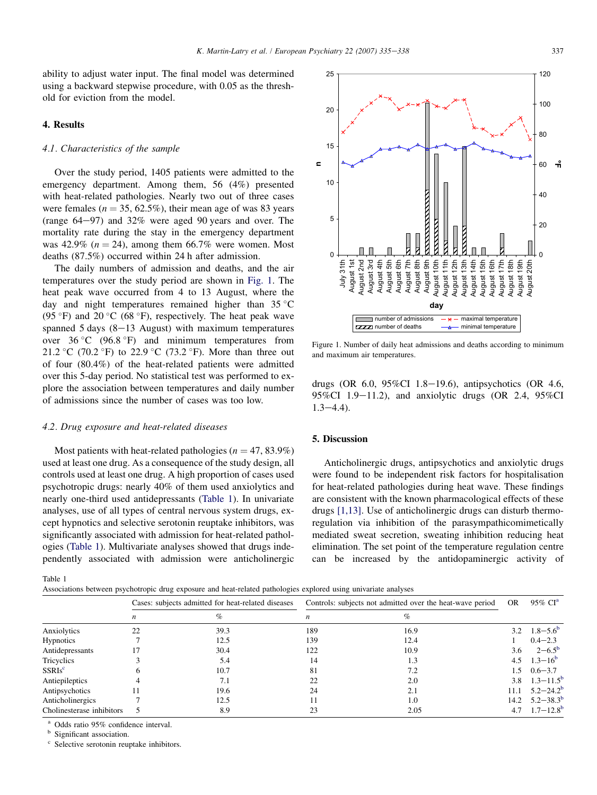ability to adjust water input. The final model was determined using a backward stepwise procedure, with 0.05 as the threshold for eviction from the model.

## 4. Results

## 4.1. Characteristics of the sample

Over the study period, 1405 patients were admitted to the emergency department. Among them, 56 (4%) presented with heat-related pathologies. Nearly two out of three cases were females ( $n = 35, 62.5\%$ ), their mean age of was 83 years (range  $64-97$ ) and  $32\%$  were aged 90 years and over. The mortality rate during the stay in the emergency department was 42.9% ( $n = 24$ ), among them 66.7% were women. Most deaths (87.5%) occurred within 24 h after admission.

The daily numbers of admission and deaths, and the air temperatures over the study period are shown in Fig. 1. The heat peak wave occurred from 4 to 13 August, where the day and night temperatures remained higher than  $35^{\circ}$ C (95 $\degree$ F) and 20 $\degree$ C (68 $\degree$ F), respectively. The heat peak wave spanned  $5$  days (8-13 August) with maximum temperatures over  $36^{\circ}$ C (96.8  $\circ$ F) and minimum temperatures from 21.2 °C (70.2 °F) to 22.9 °C (73.2 °F). More than three out of four (80.4%) of the heat-related patients were admitted over this 5-day period. No statistical test was performed to explore the association between temperatures and daily number of admissions since the number of cases was too low.

## 4.2. Drug exposure and heat-related diseases

Most patients with heat-related pathologies ( $n = 47, 83.9\%$ ) used at least one drug. As a consequence of the study design, all controls used at least one drug. A high proportion of cases used psychotropic drugs: nearly 40% of them used anxiolytics and nearly one-third used antidepressants (Table 1). In univariate analyses, use of all types of central nervous system drugs, except hypnotics and selective serotonin reuptake inhibitors, was significantly associated with admission for heat-related pathologies (Table 1). Multivariate analyses showed that drugs independently associated with admission were anticholinergic

Table 1

Associations between psychotropic drug exposure and heat-related pathologies explored using univariate analyses



Figure 1. Number of daily heat admissions and deaths according to minimum and maximum air temperatures.

drugs (OR  $6.0$ ,  $95\%$ CI 1.8-19.6), antipsychotics (OR 4.6,  $95\%$ CI 1.9–11.2), and anxiolytic drugs (OR 2.4, 95%CI  $1.3 - 4.4$ ).

## 5. Discussion

Anticholinergic drugs, antipsychotics and anxiolytic drugs were found to be independent risk factors for hospitalisation for heat-related pathologies during heat wave. These findings are consistent with the known pharmacological effects of these drugs [\[1,13\].](#page-3-0) Use of anticholinergic drugs can disturb thermoregulation via inhibition of the parasympathicomimetically mediated sweat secretion, sweating inhibition reducing heat elimination. The set point of the temperature regulation centre can be increased by the antidopaminergic activity of

|                           | Cases: subjects admitted for heat-related diseases |      | Controls: subjects not admitted over the heat-wave period |      | <b>OR</b> | $95\%$ CI <sup>a</sup>    |
|---------------------------|----------------------------------------------------|------|-----------------------------------------------------------|------|-----------|---------------------------|
|                           |                                                    | $\%$ | n                                                         | %    |           |                           |
| Anxiolytics               | 22                                                 | 39.3 | 189                                                       | 16.9 | 3.2       | $1.8 - 5.6^{\circ}$       |
| <b>Hypnotics</b>          |                                                    | 12.5 | 139                                                       | 12.4 |           | $0.4 - 2.3$               |
| Antidepressants           |                                                    | 30.4 | 122                                                       | 10.9 | 3.6       | $2 - 6.5^{\circ}$         |
| Tricyclics                |                                                    | 5.4  | 14                                                        | 1.3  |           | 4.5 $1.3-16^b$            |
| SSRIs <sup>c</sup>        |                                                    | 10.7 | 81                                                        | 7.2  | 1.5       | $0.6 - 3.7$               |
| Antiepileptics            |                                                    | 7.1  | 22                                                        | 2.0  | 3.8       | $1.3 - 11.5^{\rm b}$      |
| Antipsychotics            |                                                    | 19.6 | 24                                                        | 2.1  | 11.1      | $5.2 - 24.2^b$            |
| Anticholinergics          |                                                    | 12.5 |                                                           | 1.0  |           | 14.2 $5.2 - 38.3^{\circ}$ |
| Cholinesterase inhibitors |                                                    | 8.9  |                                                           | 2.05 | 4.7       | $1.7 - 12.8$ <sup>b</sup> |

<sup>a</sup> Odds ratio 95% confidence interval.<br><sup>b</sup> Significant association.

Selective serotonin reuptake inhibitors.